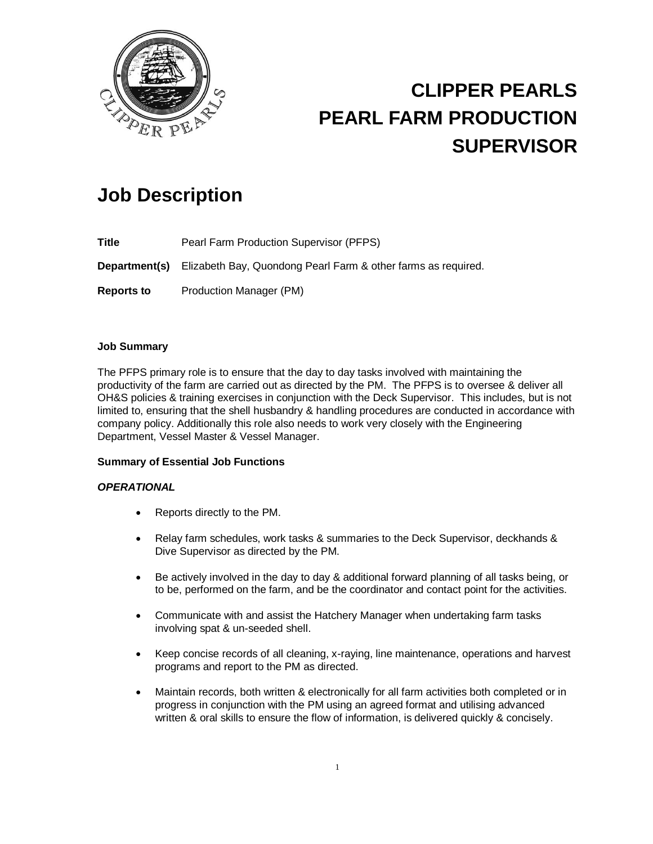

# **CLIPPER PEARLS PEARL FARM PRODUCTION SUPERVISOR**

# **Job Description**

**Title** Pearl Farm Production Supervisor (PFPS) **Department(s)** Elizabeth Bay, Quondong Pearl Farm & other farms as required. **Reports to** Production Manager (PM)

# **Job Summary**

The PFPS primary role is to ensure that the day to day tasks involved with maintaining the productivity of the farm are carried out as directed by the PM. The PFPS is to oversee & deliver all OH&S policies & training exercises in conjunction with the Deck Supervisor. This includes, but is not limited to, ensuring that the shell husbandry & handling procedures are conducted in accordance with company policy. Additionally this role also needs to work very closely with the Engineering Department, Vessel Master & Vessel Manager.

## **Summary of Essential Job Functions**

# *OPERATIONAL*

- Reports directly to the PM.
- Relay farm schedules, work tasks & summaries to the Deck Supervisor, deckhands & Dive Supervisor as directed by the PM.
- Be actively involved in the day to day & additional forward planning of all tasks being, or to be, performed on the farm, and be the coordinator and contact point for the activities.
- Communicate with and assist the Hatchery Manager when undertaking farm tasks involving spat & un-seeded shell.
- Keep concise records of all cleaning, x-raying, line maintenance, operations and harvest programs and report to the PM as directed.
- Maintain records, both written & electronically for all farm activities both completed or in progress in conjunction with the PM using an agreed format and utilising advanced written & oral skills to ensure the flow of information, is delivered quickly & concisely.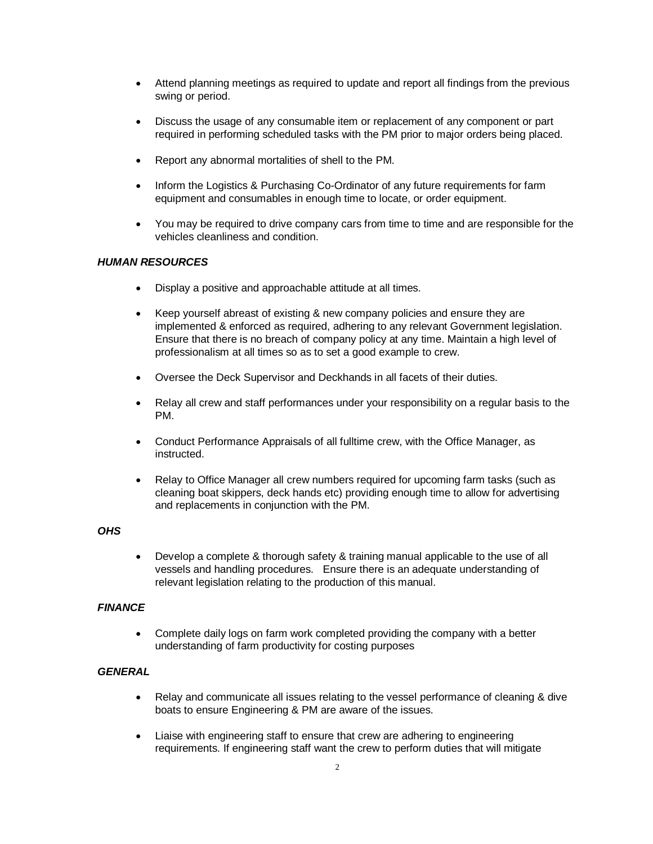- Attend planning meetings as required to update and report all findings from the previous swing or period.
- Discuss the usage of any consumable item or replacement of any component or part required in performing scheduled tasks with the PM prior to major orders being placed.
- Report any abnormal mortalities of shell to the PM.
- Inform the Logistics & Purchasing Co-Ordinator of any future requirements for farm equipment and consumables in enough time to locate, or order equipment.
- You may be required to drive company cars from time to time and are responsible for the vehicles cleanliness and condition.

#### *HUMAN RESOURCES*

- Display a positive and approachable attitude at all times.
- Keep yourself abreast of existing & new company policies and ensure they are implemented & enforced as required, adhering to any relevant Government legislation. Ensure that there is no breach of company policy at any time. Maintain a high level of professionalism at all times so as to set a good example to crew.
- Oversee the Deck Supervisor and Deckhands in all facets of their duties.
- Relay all crew and staff performances under your responsibility on a regular basis to the PM.
- Conduct Performance Appraisals of all fulltime crew, with the Office Manager, as instructed.
- Relay to Office Manager all crew numbers required for upcoming farm tasks (such as cleaning boat skippers, deck hands etc) providing enough time to allow for advertising and replacements in conjunction with the PM.

# *OHS*

 Develop a complete & thorough safety & training manual applicable to the use of all vessels and handling procedures. Ensure there is an adequate understanding of relevant legislation relating to the production of this manual.

## *FINANCE*

 Complete daily logs on farm work completed providing the company with a better understanding of farm productivity for costing purposes

## *GENERAL*

- Relay and communicate all issues relating to the vessel performance of cleaning & dive boats to ensure Engineering & PM are aware of the issues.
- Liaise with engineering staff to ensure that crew are adhering to engineering requirements. If engineering staff want the crew to perform duties that will mitigate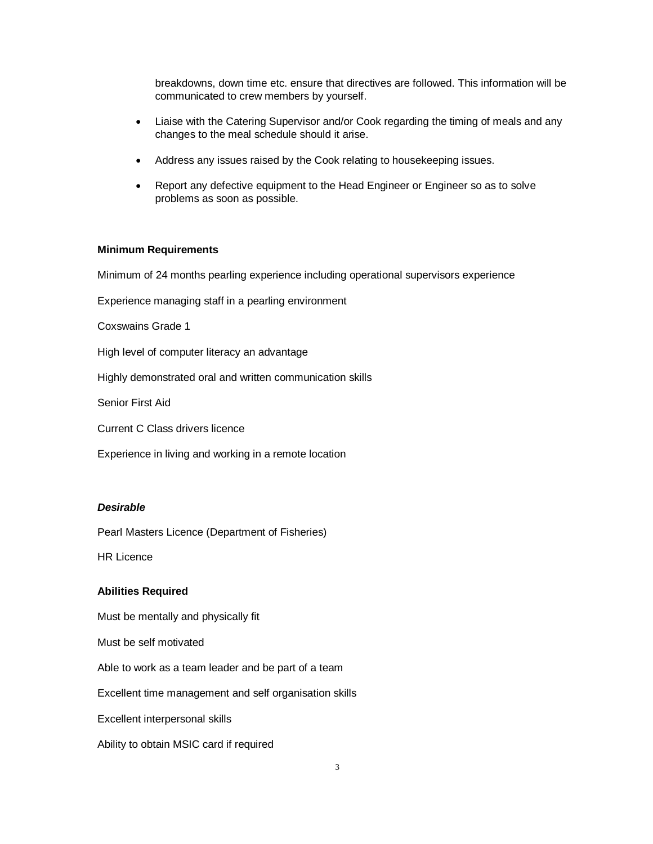breakdowns, down time etc. ensure that directives are followed. This information will be communicated to crew members by yourself.

- Liaise with the Catering Supervisor and/or Cook regarding the timing of meals and any changes to the meal schedule should it arise.
- Address any issues raised by the Cook relating to housekeeping issues.
- Report any defective equipment to the Head Engineer or Engineer so as to solve problems as soon as possible.

#### **Minimum Requirements**

Minimum of 24 months pearling experience including operational supervisors experience

Experience managing staff in a pearling environment

Coxswains Grade 1

High level of computer literacy an advantage

Highly demonstrated oral and written communication skills

Senior First Aid

Current C Class drivers licence

Experience in living and working in a remote location

#### *Desirable*

Pearl Masters Licence (Department of Fisheries)

HR Licence

#### **Abilities Required**

Must be mentally and physically fit

Must be self motivated

Able to work as a team leader and be part of a team

Excellent time management and self organisation skills

Excellent interpersonal skills

Ability to obtain MSIC card if required